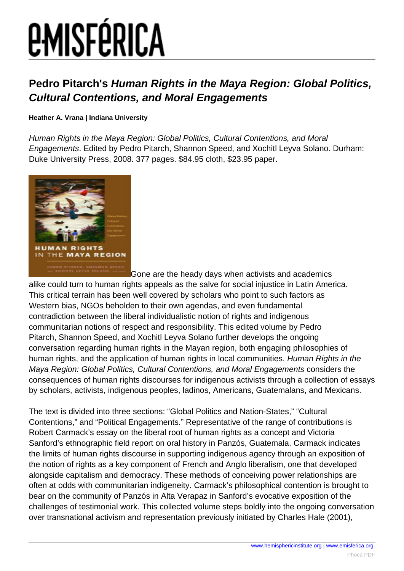# *EMISFÉRICA*

### **Pedro Pitarch's Human Rights in the Maya Region: Global Politics, Cultural Contentions, and Moral Engagements**

#### **Heather A. Vrana | Indiana University**

Human Rights in the Maya Region: Global Politics, Cultural Contentions, and Moral Engagements. Edited by Pedro Pitarch, Shannon Speed, and Xochitl Leyva Solano. Durham: Duke University Press, 2008. 377 pages. \$84.95 cloth, \$23.95 paper.



Gone are the heady days when activists and academics alike could turn to human rights appeals as the salve for social injustice in Latin America. This critical terrain has been well covered by scholars who point to such factors as Western bias, NGOs beholden to their own agendas, and even fundamental contradiction between the liberal individualistic notion of rights and indigenous communitarian notions of respect and responsibility. This edited volume by Pedro Pitarch, Shannon Speed, and Xochitl Leyva Solano further develops the ongoing conversation regarding human rights in the Mayan region, both engaging philosophies of human rights, and the application of human rights in local communities. Human Rights in the Maya Region: Global Politics, Cultural Contentions, and Moral Engagements considers the consequences of human rights discourses for indigenous activists through a collection of essays by scholars, activists, indigenous peoples, ladinos, Americans, Guatemalans, and Mexicans.

The text is divided into three sections: "Global Politics and Nation-States," "Cultural Contentions," and "Political Engagements." Representative of the range of contributions is Robert Carmack's essay on the liberal root of human rights as a concept and Victoria Sanford's ethnographic field report on oral history in Panzós, Guatemala. Carmack indicates the limits of human rights discourse in supporting indigenous agency through an exposition of the notion of rights as a key component of French and Anglo liberalism, one that developed alongside capitalism and democracy. These methods of conceiving power relationships are often at odds with communitarian indigeneity. Carmack's philosophical contention is brought to bear on the community of Panzós in Alta Verapaz in Sanford's evocative exposition of the challenges of testimonial work. This collected volume steps boldly into the ongoing conversation over transnational activism and representation previously initiated by Charles Hale (2001),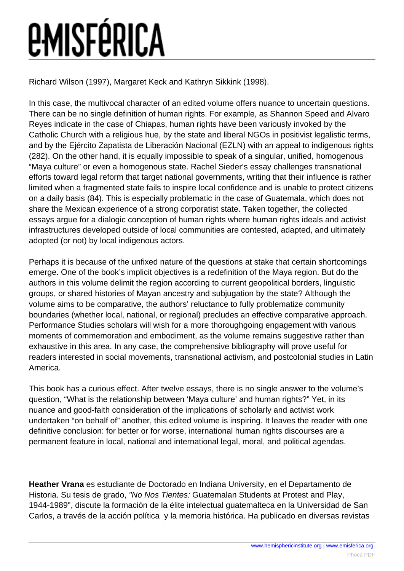## **EMISFÉRICA**

Richard Wilson (1997), Margaret Keck and Kathryn Sikkink (1998).

In this case, the multivocal character of an edited volume offers nuance to uncertain questions. There can be no single definition of human rights. For example, as Shannon Speed and Alvaro Reyes indicate in the case of Chiapas, human rights have been variously invoked by the Catholic Church with a religious hue, by the state and liberal NGOs in positivist legalistic terms, and by the Ejército Zapatista de Liberación Nacional (EZLN) with an appeal to indigenous rights (282). On the other hand, it is equally impossible to speak of a singular, unified, homogenous "Maya culture" or even a homogenous state. Rachel Sieder's essay challenges transnational efforts toward legal reform that target national governments, writing that their influence is rather limited when a fragmented state fails to inspire local confidence and is unable to protect citizens on a daily basis (84). This is especially problematic in the case of Guatemala, which does not share the Mexican experience of a strong corporatist state. Taken together, the collected essays argue for a dialogic conception of human rights where human rights ideals and activist infrastructures developed outside of local communities are contested, adapted, and ultimately adopted (or not) by local indigenous actors.

Perhaps it is because of the unfixed nature of the questions at stake that certain shortcomings emerge. One of the book's implicit objectives is a redefinition of the Maya region. But do the authors in this volume delimit the region according to current geopolitical borders, linguistic groups, or shared histories of Mayan ancestry and subjugation by the state? Although the volume aims to be comparative, the authors' reluctance to fully problematize community boundaries (whether local, national, or regional) precludes an effective comparative approach. Performance Studies scholars will wish for a more thoroughgoing engagement with various moments of commemoration and embodiment, as the volume remains suggestive rather than exhaustive in this area. In any case, the comprehensive bibliography will prove useful for readers interested in social movements, transnational activism, and postcolonial studies in Latin America.

This book has a curious effect. After twelve essays, there is no single answer to the volume's question, "What is the relationship between 'Maya culture' and human rights?" Yet, in its nuance and good-faith consideration of the implications of scholarly and activist work undertaken "on behalf of" another, this edited volume is inspiring. It leaves the reader with one definitive conclusion: for better or for worse, international human rights discourses are a permanent feature in local, national and international legal, moral, and political agendas.

**Heather Vrana** es estudiante de Doctorado en Indiana University, en el Departamento de Historia. Su tesis de grado, "No Nos Tientes: Guatemalan Students at Protest and Play, 1944-1989", discute la formación de la élite intelectual guatemalteca en la Universidad de San Carlos, a través de la acción política y la memoria histórica. Ha publicado en diversas revistas